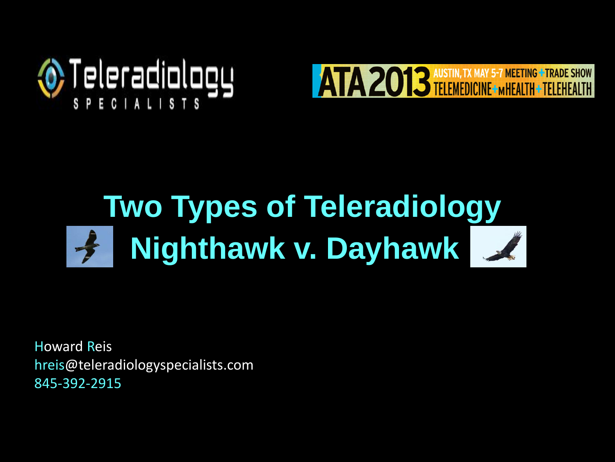



# **Nighthawk v. Dayhawk Two Types of Teleradiology**

Howard Reis hreis@teleradiologyspecialists.com 845-392-2915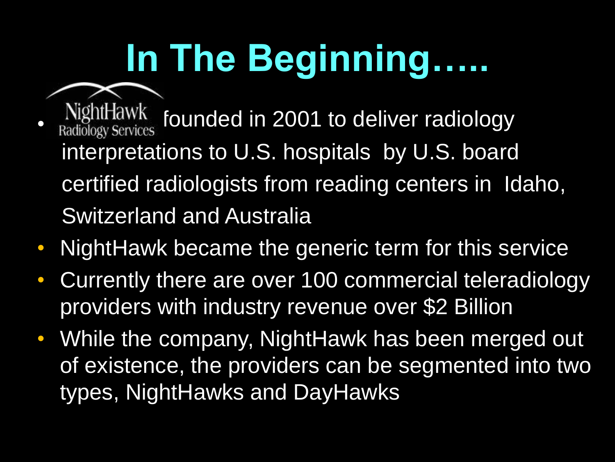# **In The Beginning…..**

- NightHawk<br>Radiology Services founded in 2001 to deliver radiology interpretations to U.S. hospitals by U.S. board certified radiologists from reading centers in Idaho, Switzerland and Australia
- NightHawk became the generic term for this service
- Currently there are over 100 commercial teleradiology providers with industry revenue over \$2 Billion
- While the company, NightHawk has been merged out of existence, the providers can be segmented into two types, NightHawks and DayHawks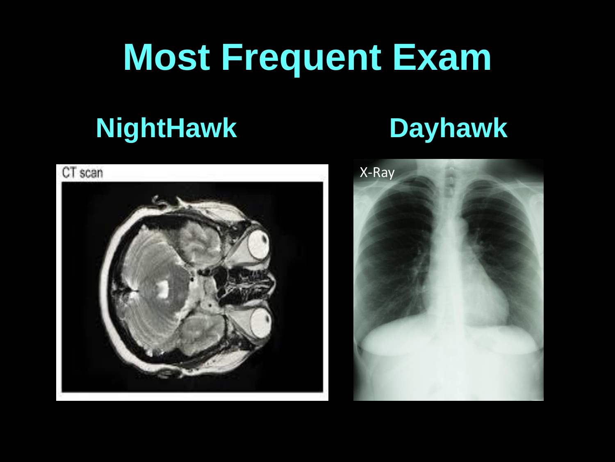# **Most Frequent Exam**

### **NightHawk Dayhawk**



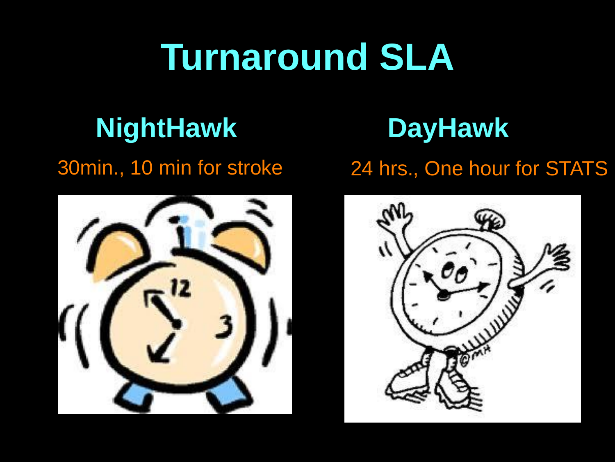# **Turnaround SLA**

## **NightHawk DayHawk**



#### 30min., 10 min for stroke 24 hrs., One hour for STATS

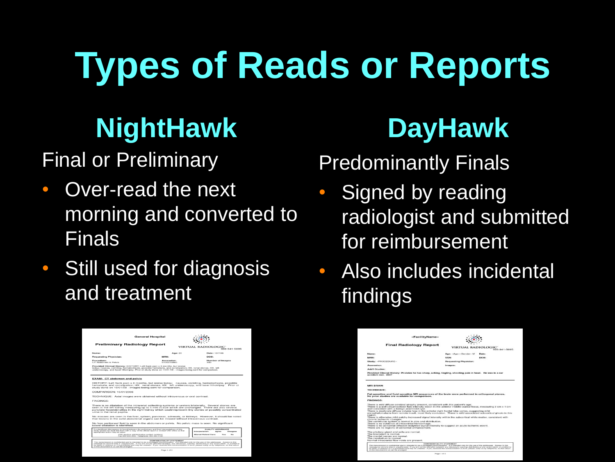# **Types of Reads or Reports**

## **NightHawk**

Final or Preliminary

- Over-read the next morning and converted to Finals
- Still used for diagnosis and treatment

|                                                                     | <b>General Hospital</b>                                                                                                                                                                                                                                                                          |                                                                                                        |
|---------------------------------------------------------------------|--------------------------------------------------------------------------------------------------------------------------------------------------------------------------------------------------------------------------------------------------------------------------------------------------|--------------------------------------------------------------------------------------------------------|
| <b>Preliminary Radiology Report</b>                                 |                                                                                                                                                                                                                                                                                                  | <b>VIRTUAL RADIOLOGIC"</b><br>B66-941-5695                                                             |
| Name:                                                               | Age: 20                                                                                                                                                                                                                                                                                          | Date: 10/7/08                                                                                          |
| <b>Requesting Physician:</b>                                        | <b>MEDIA:</b>                                                                                                                                                                                                                                                                                    | DOB:                                                                                                   |
| Procedure:<br>CT Abdomen & Pelvis                                   | Accession:<br>0100314000                                                                                                                                                                                                                                                                         | Number of Images<br>0.40                                                                               |
|                                                                     | Provided Clinical History: HISTORY: Left flank pain x 8 months, but worse<br>today; nausea, vomiting, hematochezia, possible hematuria, and constipation; HX, renal stones, HX, left<br>ureteroscopy, and laser lithotripsy. Prior of study done on 10/01/08 - images being sent for comparison. |                                                                                                        |
| <b>EXAM: CT abdomen and pelvis</b>                                  |                                                                                                                                                                                                                                                                                                  |                                                                                                        |
|                                                                     | HISTORY: Left flank pain x 8 months, but worse today: nausea, vorniting, hematochezia, possible<br>hematuria, and constipation; HX. renal stones, HX. left ureteroscopy, and laser lithotripsy. Prior ct<br>study done on 10/01/08 - images being sent for comparison.                           |                                                                                                        |
| COMPARISON: 10/01/2008                                              |                                                                                                                                                                                                                                                                                                  |                                                                                                        |
|                                                                     | TECHNIQUE: Axial images were obtained without intravenous or oral contrast.                                                                                                                                                                                                                      |                                                                                                        |
| <b>EINDINGS:</b>                                                    |                                                                                                                                                                                                                                                                                                  |                                                                                                        |
|                                                                     | There is no dilatation of the intrarenal collecting systems or ureters bilaterally. Several stones are<br>seen in the left kidney measuring up to 4 mm in size which are unchanged. There are also several                                                                                       | punctate hyperdensities in the right kidney which could represent tiny stones or possibly concentrated |
| urine in the renal papilla.                                         |                                                                                                                                                                                                                                                                                                  |                                                                                                        |
|                                                                     | No masses are seen in the liver, spleen, pancreas, adrenals, or kidneys. However, it should be noted<br>that lesions in the solid abdominal organs can be missed without intravenous contrast.                                                                                                   |                                                                                                        |
|                                                                     | No free peritoneal fluid is seen in the abdomen or pelvis. No pelvic mass is seen. No significant                                                                                                                                                                                                |                                                                                                        |
| bowel dilatation is identified.<br>appropriate action may be taken. | If a significant discrepancy is found between the prefiminary and final interpretations of this<br>study, please fax back this form with a copy of the official report or contact VFEC office so that                                                                                            | <b>QUALITY ASSURANCE</b><br>Interpretation:<br>Agree<br><b>Disagree</b>                                |
|                                                                     | VRC daytime administrative contact numbers:<br>Eas 952-935-2551 Telephone: 552-392-1100                                                                                                                                                                                                          | <b>Attered Patient Care:</b><br>More.<br><b>BAG</b>                                                    |

## **DayHawk**

#### Predominantly Finals

- Signed by reading radiologist and submitted for reimbursement
- Also includes incidental findings

| «FacilityName»                                                                                                                                                                                                                                                                                                                                                                                                                                                                                                                                                                                                                                                                                                                                                                                                                                                                                               |                                  |                     |
|--------------------------------------------------------------------------------------------------------------------------------------------------------------------------------------------------------------------------------------------------------------------------------------------------------------------------------------------------------------------------------------------------------------------------------------------------------------------------------------------------------------------------------------------------------------------------------------------------------------------------------------------------------------------------------------------------------------------------------------------------------------------------------------------------------------------------------------------------------------------------------------------------------------|----------------------------------|---------------------|
| <b>Final Radiology Report</b>                                                                                                                                                                                                                                                                                                                                                                                                                                                                                                                                                                                                                                                                                                                                                                                                                                                                                | <b>VIRTUAL RADIOLOGIC'</b>       | <b>RRA.041-5605</b> |
| Name:                                                                                                                                                                                                                                                                                                                                                                                                                                                                                                                                                                                                                                                                                                                                                                                                                                                                                                        | Age: -Age--Gender- M             | Date:               |
| BARREZ-                                                                                                                                                                                                                                                                                                                                                                                                                                                                                                                                                                                                                                                                                                                                                                                                                                                                                                      | <b>HUNGAL</b>                    | DOM:                |
| <b>Bludy: -PROCEDURE-</b>                                                                                                                                                                                                                                                                                                                                                                                                                                                                                                                                                                                                                                                                                                                                                                                                                                                                                    | Requesting Physician:            |                     |
| Accession:                                                                                                                                                                                                                                                                                                                                                                                                                                                                                                                                                                                                                                                                                                                                                                                                                                                                                                   | Images:                          |                     |
| Add't Studies:                                                                                                                                                                                                                                                                                                                                                                                                                                                                                                                                                                                                                                                                                                                                                                                                                                                                                               |                                  |                     |
| Provided Clinical History: Pt states he has sharp, aching, tingling, shooting pain in head. He was in a car<br>sccident nov. 2007                                                                                                                                                                                                                                                                                                                                                                                                                                                                                                                                                                                                                                                                                                                                                                            |                                  |                     |
| <b>MRI BRAIN</b>                                                                                                                                                                                                                                                                                                                                                                                                                                                                                                                                                                                                                                                                                                                                                                                                                                                                                             |                                  |                     |
| <b>TECHNIQUE:</b>                                                                                                                                                                                                                                                                                                                                                                                                                                                                                                                                                                                                                                                                                                                                                                                                                                                                                            |                                  |                     |
| Eat-sensitive and fluid-sensitive MR sequences of the brain were performed in orthogonal planes.<br>No prior studies are available for comparison.                                                                                                                                                                                                                                                                                                                                                                                                                                                                                                                                                                                                                                                                                                                                                           |                                  |                     |
| <b>FINDINGS:</b>                                                                                                                                                                                                                                                                                                                                                                                                                                                                                                                                                                                                                                                                                                                                                                                                                                                                                             |                                  |                     |
| There is mild diffuse cerebral atrophy present, consistent with this patient's age.<br>There is a well-circumscribed fluid intensity lesion in the anterior middle cranial fossa, measuring 2 cm x 1 cm<br>and consistent with a benign arachnoid ovst.<br>There is moderate diffuse volume loss in the anterior right frontal lobe cortex, suggesting mild<br>encephalomalacia from remote insult, most likely contusion. There is mild associated subcortical gliosis in this<br>reminn.<br>There is otherwise mild patchy increased signal intensity within the subcortical white matter, consistent with<br>chronic ischemic changes.<br>The ventricular system is normal in size and distribution.<br>There is no evidence of intracranial hemorrhage.<br>There is no abnormal diffusion weighted signal intensity to suggest an acute ischemic event.<br>There are no regions of abnormal enhancement. |                                  |                     |
| The pituitary gland and sella are normal.<br>The brainstern is normal.<br>The cranial nerves are normal.<br>The cerebellum is normal.<br>Normal intracranial flow voids are present.                                                                                                                                                                                                                                                                                                                                                                                                                                                                                                                                                                                                                                                                                                                         |                                  |                     |
|                                                                                                                                                                                                                                                                                                                                                                                                                                                                                                                                                                                                                                                                                                                                                                                                                                                                                                              | <b>CONFIDENTIALITY STATEMENT</b> |                     |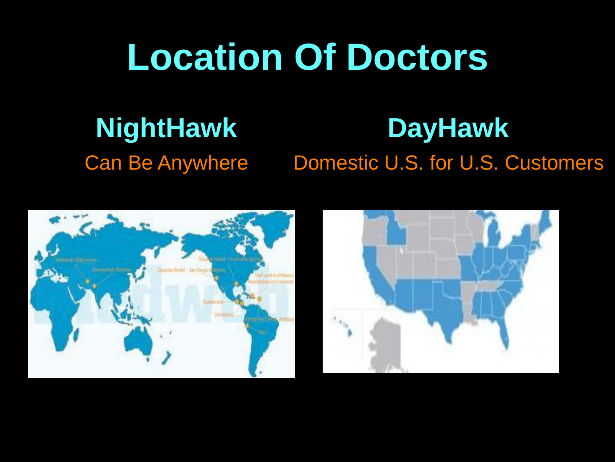# **Location Of Doctors**

# **NightHawk**

# **DayHawk**

Can Be Anywhere Domestic U.S. for U.S. Customers



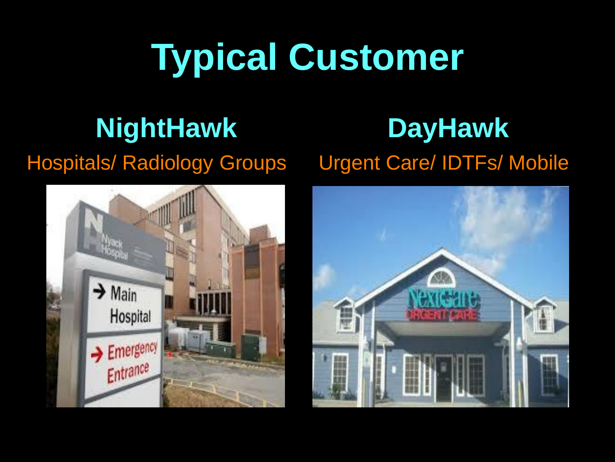# **Typical Customer**

## **NightHawk**

#### Hospitals/ Radiology Groups



### **DayHawk** Urgent Care/ IDTFs/ Mobile

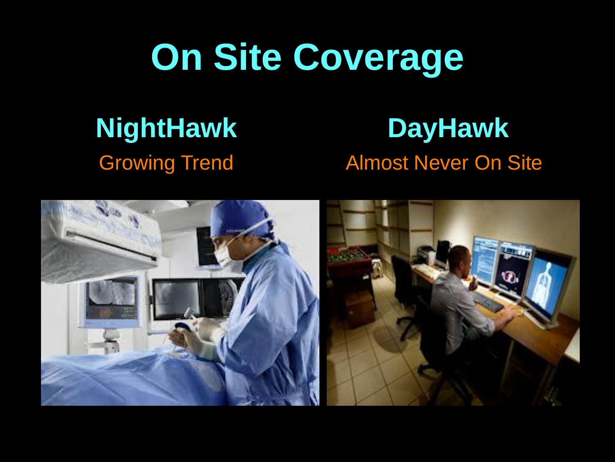# **On Site Coverage**

#### **NightHawk** Growing Trend

#### **DayHawk** Almost Never On Site

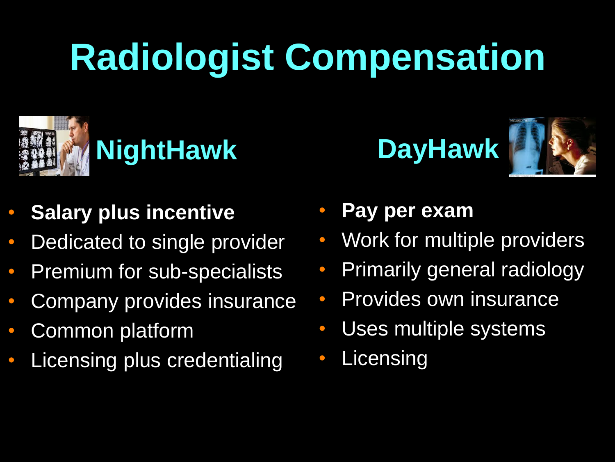# **Radiologist Compensation**



- **Salary plus incentive**
- Dedicated to single provider
- Premium for sub-specialists
- Company provides insurance
- Common platform
- Licensing plus credentialing





- **Pay per exam**
- Work for multiple providers
- Primarily general radiology
- Provides own insurance
- Uses multiple systems
- **Licensing**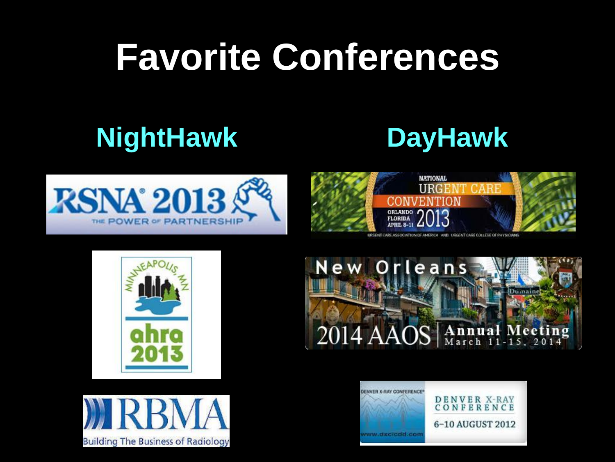# **Favorite Conferences**

## **NightHawk DayHawk**





URGENT CARE ASSOCIATION OF AMERICA AND URGENT CARE COLLEGE OF PHYSICIANS







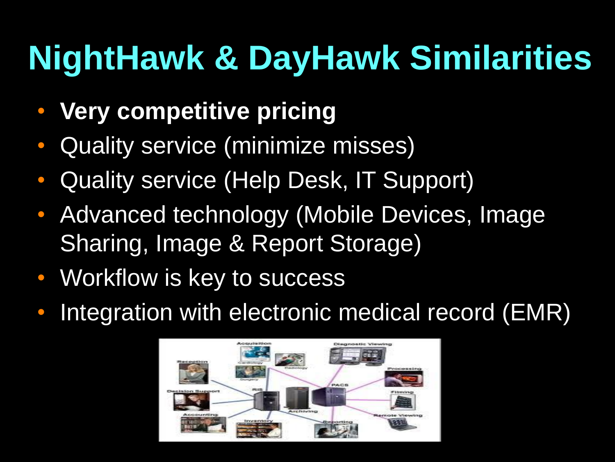# **NightHawk & DayHawk Similarities**

- **Very competitive pricing**
- Quality service (minimize misses)
- Quality service (Help Desk, IT Support)
- Advanced technology (Mobile Devices, Image Sharing, Image & Report Storage)
- Workflow is key to success
- Integration with electronic medical record (EMR)

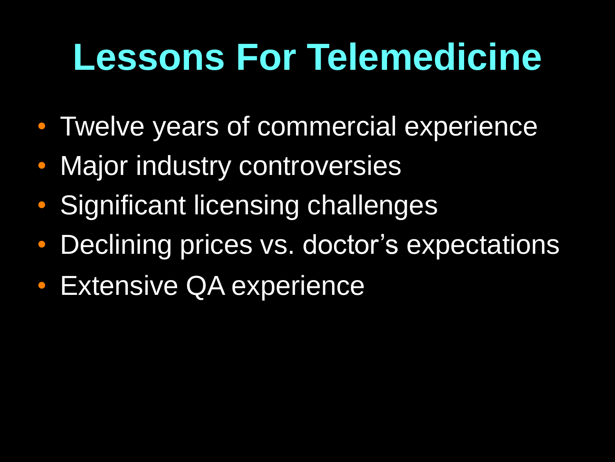# **Lessons For Telemedicine**

- Twelve years of commercial experience
- Major industry controversies
- Significant licensing challenges
- Declining prices vs. doctor's expectations
- **Extensive QA experience**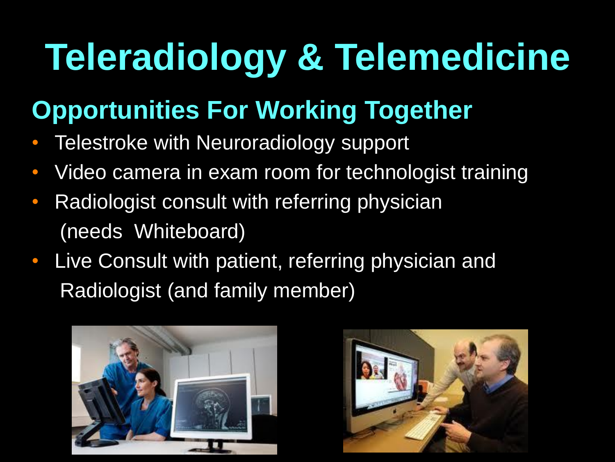# **Teleradiology & Telemedicine**

### **Opportunities For Working Together**

- Telestroke with Neuroradiology support
- Video camera in exam room for technologist training
- Radiologist consult with referring physician (needs Whiteboard)
- Live Consult with patient, referring physician and Radiologist (and family member)